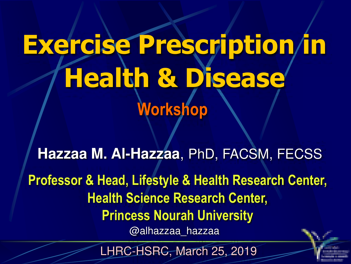# **Exercise Prescription in Health & Disease Workshop**

**Hazzaa M. Al-Hazzaa**, PhD, FACSM, FECSS **Professor & Head, Lifestyle & Health Research Center, Health Science Research Center, Princess Nourah University** @alhazzaa\_hazzaa

LHRC-HSRC, March 25, 2019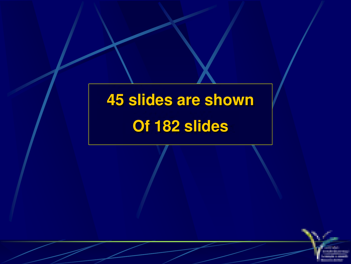# **45 slides are shown Of 182 slides**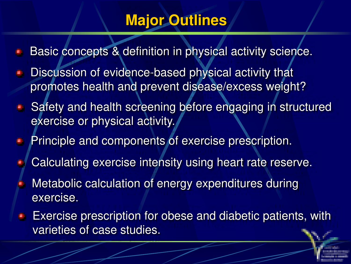## **Major Outlines**

- Basic concepts & definition in physical activity science.
- Discussion of evidence-based physical activity that promotes health and prevent disease/excess weight?
- Safety and health screening before engaging in structured exercise or physical activity.
- Principle and components of exercise prescription.
- Calculating exercise intensity using heart rate reserve.
- Metabolic calculation of energy expenditures during exercise.
- Exercise prescription for obese and diabetic patients, with Ø. varieties of case studies.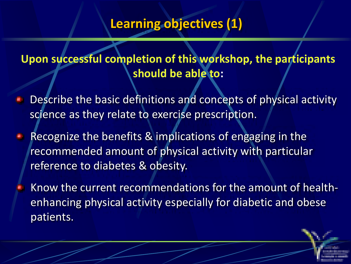#### **Learning objectives (1)**

#### **Upon successful completion of this workshop, the participants should be able to:**

- Describe the basic definitions and concepts of physical activity science as they relate to exercise prescription.
- Recognize the benefits & implications of engaging in the recommended amount of physical activity with particular reference to diabetes & obesity.
- Know the current recommendations for the amount of healthenhancing physical activity especially for diabetic and obese patients.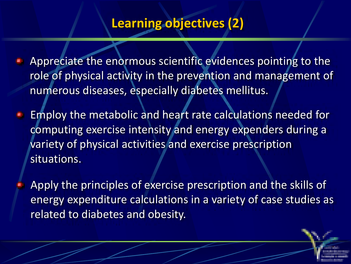#### **Learning objectives (2)**

Appreciate the enormous scientific evidences pointing to the role of physical activity in the prevention and management of numerous diseases, especially diabetes mellitus.

Employ the metabolic and heart rate calculations needed for computing exercise intensity and energy expenders during a variety of physical activities and exercise prescription situations.

Apply the principles of exercise prescription and the skills of energy expenditure calculations in a variety of case studies as related to diabetes and obesity.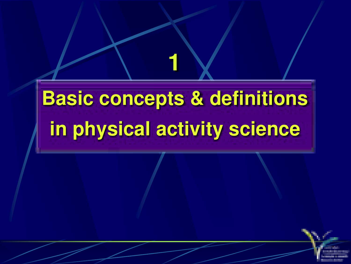# **Basic concepts & definitions in physical activity science**

**1**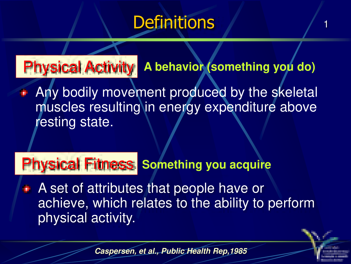# **Definitions**

1

#### Physical Activity **A behavior (something you do)**

Any bodily movement produced by the skeletal muscles resulting in energy expenditure above resting state.

## **Physical Fitness Something you acquire**

**A** set of attributes that people have or achieve, which relates to the ability to perform physical activity.

**Caspersen, et al., Public Health Rep,1985**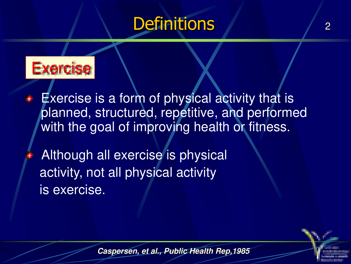# **Definitions**



- Exercise is a form of physical activity that is planned, structured, repetitive, and performed with the goal of improving health or fitness.
	- Although all exercise is physical activity, not all physical activity is exercise.

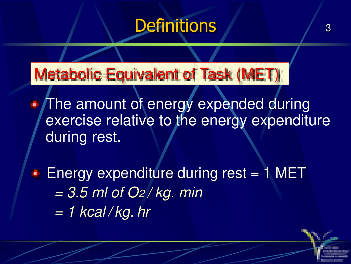# **Definitions**

3

Metabolic Equivalent of Task (MET)

The amount of energy expended during exercise relative to the energy expenditure during rest.

**Energy expenditure during rest = 1 MET**  $= 3.5$  ml of O<sub>2</sub>/kg. min  $= 1$  kcal/kg. hr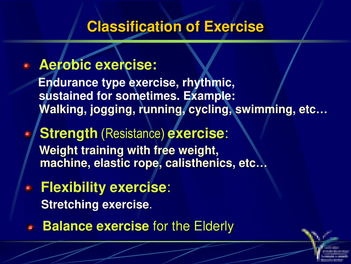### **Classification of Exercise**

#### **Aerobic exercise:**

**Endurance type exercise, rhythmic, sustained for sometimes. Example: Walking, jogging, running, cycling, swimming, etc…**

**Strength** (Resistance) **exercise**: **Weight training with free weight, machine, elastic rope, calisthenics, etc…**

**Flexibility exercise**: **Stretching exercise**.

**Balance exercise** for the Elderly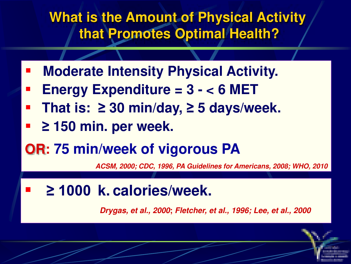### **What is the Amount of Physical Activity that Promotes Optimal Health?**

- **Moderate Intensity Physical Activity.**
- **Energy Expenditure = 3 < 6 MET**
- **That is:**  $≥ 30$  **min/day,**  $≥ 5$  **days/week.**
- **2150 min. per week.**
- **OR: 75 min/week of vigorous PA**

**ACSM, 2000; CDC, 1996, PA Guidelines for Americans, 2008; WHO, 2010**

**21000 k. calories/week.** 

**Drygas, et al., 2000; Fletcher, et al., 1996; Lee, et al., 2000**

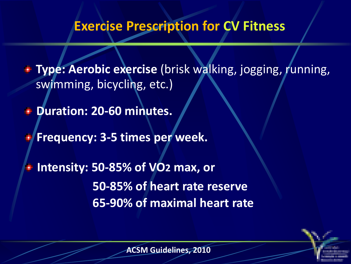#### **Exercise Prescription for CV Fitness**

**Type: Aerobic exercise** (brisk walking, jogging, running, swimming, bicycling, etc.)

*<del>D</del>uration: 20-60 minutes.* 

**Frequency: 3-5 times per week.** 

**Intensity: 50-85% of VO2 max, or 50-85% of heart rate reserve 65-90% of maximal heart rate** 

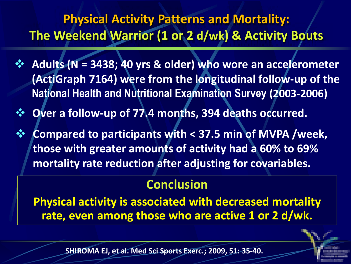#### **Physical Activity Patterns and Mortality: The Weekend Warrior (1 or 2 d/wk) & Activity Bouts**

- ❖ **Adults (N = 3438; 40 yrs & older) who wore an accelerometer (ActiGraph 7164) were from the longitudinal follow-up of the National Health and Nutritional Examination Survey (2003-2006)**
- ❖ **Over a follow-up of 77.4 months, 394 deaths occurred.**
- ❖ **Compared to participants with < 37.5 min of MVPA /week, those with greater amounts of activity had a 60% to 69% mortality rate reduction after adjusting for covariables.**

#### **Conclusion**

**Physical activity is associated with decreased mortality rate, even among those who are active 1 or 2 d/wk.**



**SHIROMA EJ, et al. Med Sci Sports Exerc.; 2009, 51: 35-40.**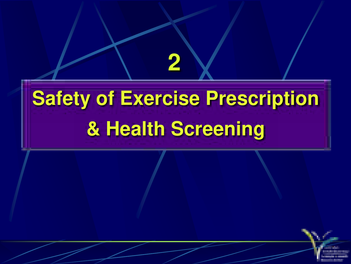# **Safety of Exercise Prescription & Health Screening**

**2**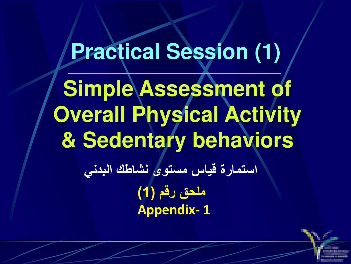# **Practical Session (1) Simple Assessment of Overall Physical Activity & Sedentary behaviors استمارة قياس مستوى نشاطك البدني ملحق رقم )1( Appendix- 1**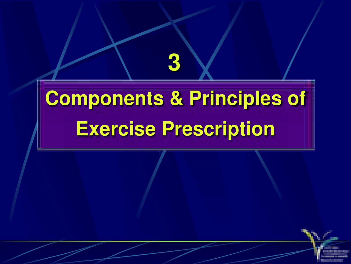# **Components & Principles of Exercise Prescription**

**3**

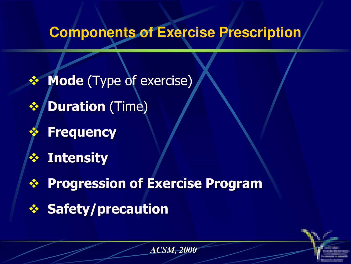## **Components of Exercise Prescription**

*ACSM, 2000*

❖ **Mode** (Type of exercise) ❖ **Duration** (Time) ❖ **Frequency** ❖ **Intensity** ❖ **Progression of Exercise Program** ❖ **Safety/precaution**

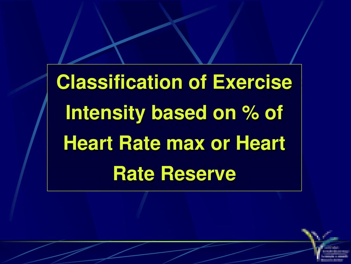**Classification of Exercise Intensity based on % of Heart Rate max or Heart Rate Reserve**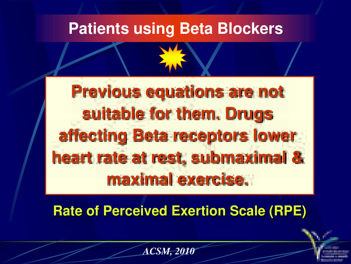## **Patients using Beta Blockers**

**Previous equations are not suitable for them. Drugs affecting Beta receptors lower heart rate at rest, submaximal & maximal exercise.**

**Rate of Perceived Exertion Scale (RPE)**

*ACSM, 2010*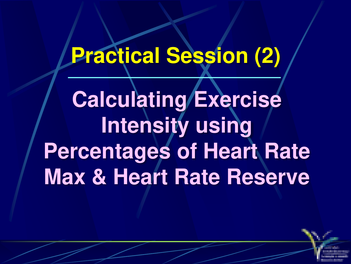# **Practical Session (2)**

**Calculating Exercise Intensity using Percentages of Heart Rate Max & Heart Rate Reserve**

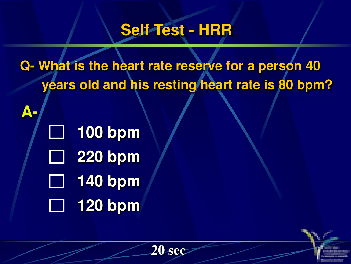## **Self Test - HRR**

**Q- What is the heart rate reserve for a person 40 years old and his resting heart rate is 80 bpm?**

**20 sec**

**100 bpm**  $\Box$ **220 bpm 140 bpm 120 bpm**

**A-**

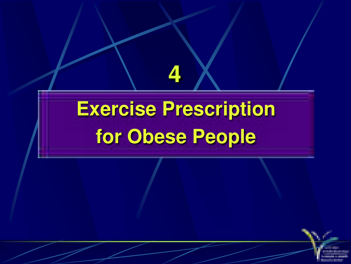# **Exercise Prescription for Obese People**

**4**

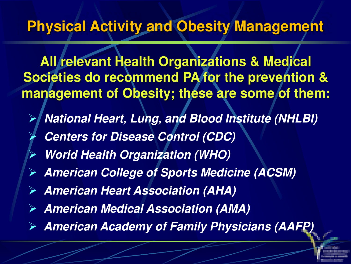### **Physical Activity and Obesity Management**

**All relevant Health Organizations & Medical Societies do recommend PA for the prevention & management of Obesity; these are some of them:**

- ➢ **National Heart, Lung, and Blood Institute (NHLBI)** ➢ **Centers for Disease Control (CDC)**
- ➢ **World Health Organization (WHO)**
- ➢ **American College of Sports Medicine (ACSM)**
- ➢ **American Heart Association (AHA)**
- ➢ **American Medical Association (AMA)**
- ➢ **American Academy of Family Physicians (AAFP)**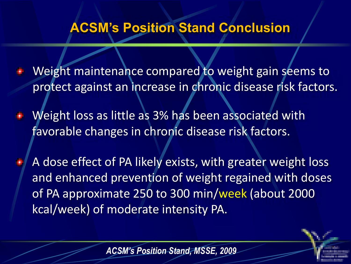#### **ACSM's Position Stand Conclusion**

- Weight maintenance compared to weight gain seems to protect against an increase in chronic disease risk factors.
- Weight loss as little as 3% has been associated with favorable changes in chronic disease risk factors.
- A dose effect of PA likely exists, with greater weight loss and enhanced prevention of weight regained with doses of PA approximate 250 to 300 min/week (about 2000 kcal/week) of moderate intensity PA.

*ACSM's Position Stand, MSSE, 2009*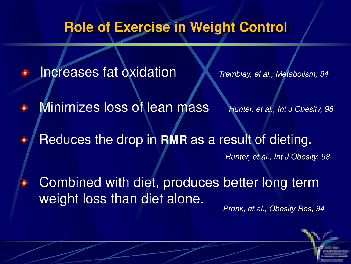### **Role of Exercise in Weight Control**

Increases fat oxidation Tremblay, et al., Metabolism, 94

- Minimizes loss of lean mass Hunter, et al., Int J Obesity, 98 Þ
- Reduces the drop in **RMR** as a result of dieting. ٠

Hunter, et al., Int J Obesity, 98

Combined with diet, produces better long term weight loss than diet alone. Pronk, et al., Obesity Res, 94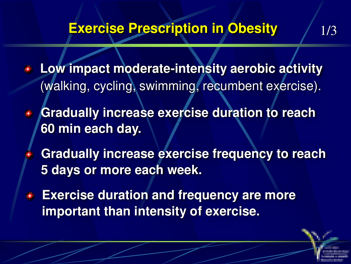### **Exercise Prescription in Obesity 1/3**

- **Low impact moderate-intensity aerobic activity**  (walking, cycling, swimming, recumbent exercise).
- **Gradually increase exercise duration to reach 60 min each day.** 
	- **Gradually increase exercise frequency to reach 5 days or more each week.**
- **Exercise duration and frequency are more important than intensity of exercise.**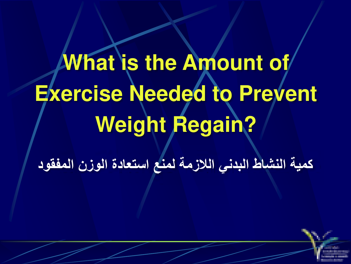# **What is the Amount of Exercise Needed to Prevent Weight Regain?**

**كمية النشاط البدني الالزمة لمنع استعادة الوزن المفقود**

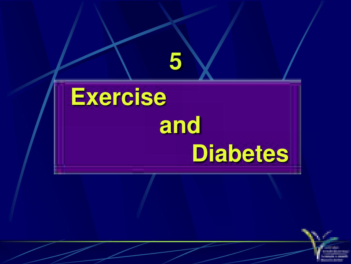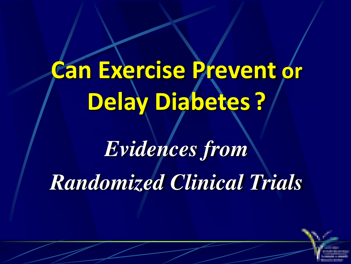# **Can Exercise Prevent or Delay Diabetes ?**

# *Evidences from Randomized Clinical Trials*

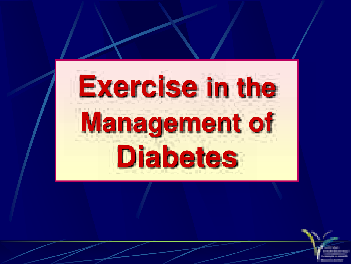# Exercise in the **Management of Diabetes**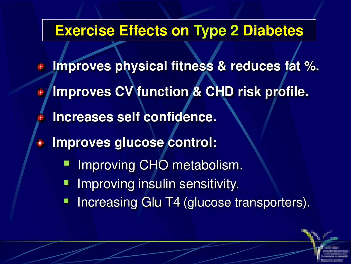#### **Exercise Effects on Type 2 Diabetes**

**Improves physical fitness & reduces fat %. Improves CV function & CHD risk profile. Increases self confidence. Improves glucose control:** w Improving CHO metabolism. **E** Improving insulin sensitivity. **• Increasing Glu T4 (glucose transporters).**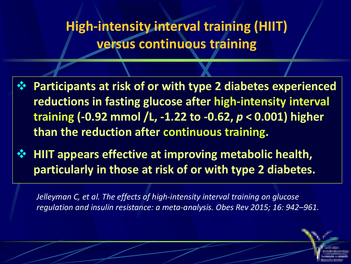**High-intensity interval training (HIIT) versus continuous training** 

- ❖ **Participants at risk of or with type 2 diabetes experienced reductions in fasting glucose after high-intensity interval training (-0.92 mmol /L, -1.22 to -0.62,** *p***< 0.001) higher than the reduction after continuous training.**
- ❖ **HIIT appears effective at improving metabolic health, particularly in those at risk of or with type 2 diabetes.**

*Jelleyman C, et al. The effects of high-intensity interval training on glucose regulation and insulin resistance: a meta-analysis. Obes Rev 2015; 16: 942–961.*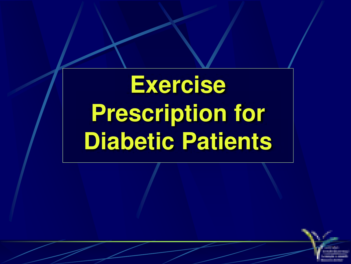**Exercise Prescription for Diabetic Patients**

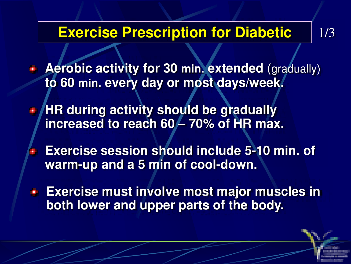#### **Exercise Prescription for Diabetic | 1/3**

**Aerobic activity for 30 min. extended** (gradually) **to 60 min. every day or most days/week.**

**HR during activity should be gradually increased to reach 60 – 70% of HR max.**

**Exercise session should include 5-10 min. of warm-up and a 5 min of cool-down.**

**Exercise must involve most major muscles in both lower and upper parts of the body.**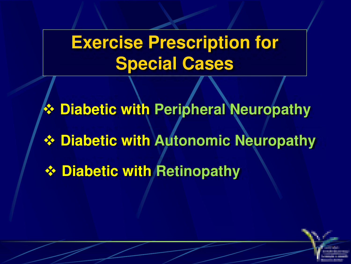# **Exercise Prescription for Special Cases**

❖ **Diabetic with Peripheral Neuropathy** ❖ **Diabetic with Autonomic Neuropathy** ❖ **Diabetic with Retinopathy**

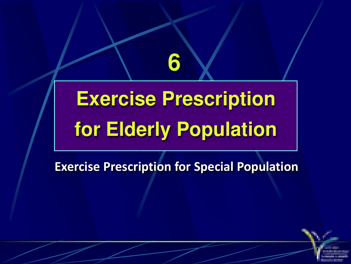# **Exercise Prescription for Elderly Population**

**6**

#### **Exercise Prescription for Special Population**

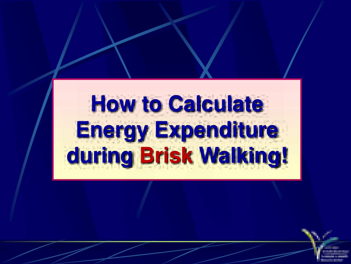# **How to Calculate Energy Expenditure during Brisk Walking!**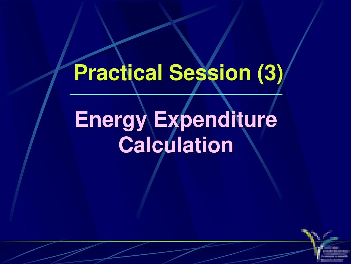# **Practical Session (3)**

# **Energy Expenditure Calculation**

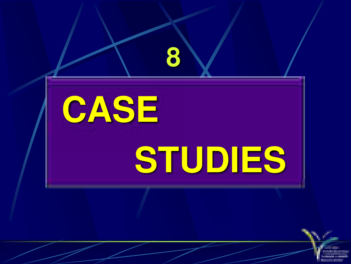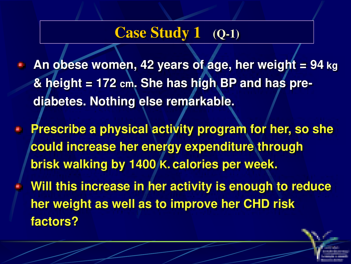## **Case Study 1 (Q-1)**

- **An obese women, 42 years of age, her weight = 94 kg & height = 172 cm. She has high BP and has prediabetes. Nothing else remarkable.**
- **Prescribe a physical activity program for her, so she could increase her energy expenditure through brisk walking by 1400 K. calories per week.**
- **Will this increase in her activity is enough to reduce her weight as well as to improve her CHD risk factors?**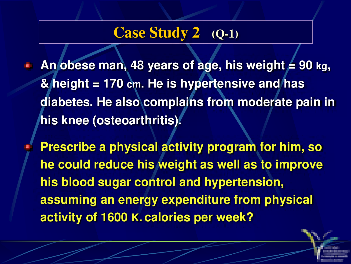## **Case Study 2 (Q-1)**

- An obese man, 48 years of age, his weight  $\neq$  90 kg, **& height = 170 cm. He is hypertensive and has diabetes. He also complains from moderate pain in his knee (osteoarthritis).** 
	- **Prescribe a physical activity program for him, so he could reduce his weight as well as to improve his blood sugar control and hypertension, assuming an energy expenditure from physical activity of 1600 K. calories per week?**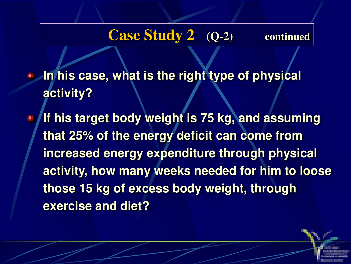#### **Case Study 2** (Q-2) continued

- **In his case, what is the right type of physical activity?**
- **If his target body weight is 75 kg, and assuming that 25% of the energy deficit can come from increased energy expenditure through physical activity, how many weeks needed for him to loose those 15 kg of excess body weight, through exercise and diet?**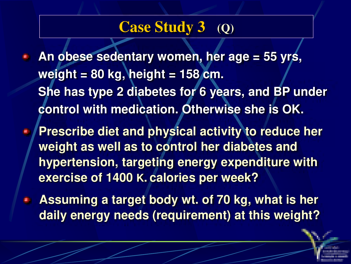## **Case Study 3 (Q)**

**An obese sedentary women, her age = 55 yrs, weight = 80 kg, height = 158 cm. She has type 2 diabetes for 6 years, and BP under control with medication. Otherwise she is OK.**

**Prescribe diet and physical activity to reduce her weight as well as to control her diabetes and hypertension, targeting energy expenditure with exercise of 1400 K. calories per week?** 

**Assuming a target body wt. of 70 kg, what is her**  ø. **daily energy needs (requirement) at this weight?**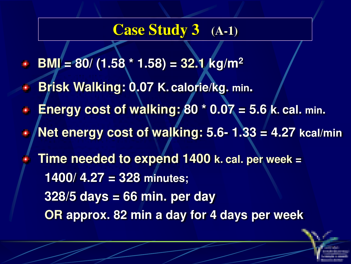### **Case Study 3 (A-1)**

- **BMI** = 80/ (1.58  $*$  1.58) = 32.1 **kg/m<sup>2</sup>**
- **Brisk Walking: 0.07 K. calorie/kg. min.**
- **Energy cost of walking: 80 \* 0.07 = 5.6 k. cal. min.**
- **Net energy cost of walking: 5.6- 1.33 = 4.27 kcal/min**
- **Time needed to expend 1400 k. cal. per week = 1400/ 4.27 = 328 minutes; 328/5 days = 66 min. per day OR approx. 82 min a day for 4 days per week**

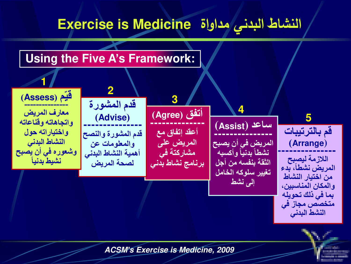## **النشاط البدني مداواة Medicine is Exercise**

#### **Using the Five A's Framework:**



**ACSM***'***s Exercise is Medicine, 2009**